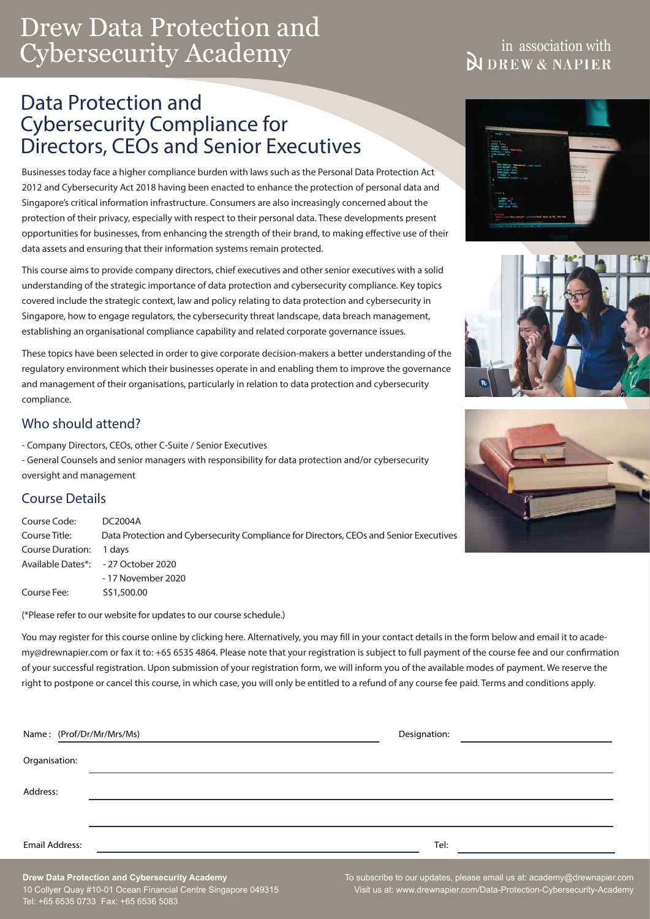# Drew Data Protection and Cybersecurity Academy

## in association with **N** DREW & NAPIER

## Data Protection and Cybersecurity Compliance for Directors, CEOs and Senior Executives

Businesses today face a higher compliance burden with laws such as the Personal Data Protection Act 2012 and Cybersecurity Act 2018 having been enacted to enhance the protection of personal data and Singapore's critical information infrastructure. Consumers are also increasingly concerned about the protection of their privacy, especially with respect to their personal data. These developments present opportunities for businesses, from enhancing the strength of their brand, to making effective use of their data assets and ensuring that their information systems remain protected.

This course aims to provide company directors, chief executives and other senior executives with a solid understanding of the strategic importance of data protection and cybersecurity compliance. Key topics covered include the strategic context, law and policy relating to data protection and cybersecurity in Singapore, how to engage regulators, the cybersecurity threat landscape, data breach management, establishing an organisational compliance capability and related corporate governance issues.

These topics have been selected in order to give corporate decision-makers a better understanding of the regulatory environment which their businesses operate in and enabling them to improve the governance and management of their organisations, particularly in relation to data protection and cybersecurity compliance.

### Who should attend?

- Company Directors, CEOs, other C-Suite / Senior Executives

- General Counsels and senior managers with responsibility for data protection and/or cybersecurity oversight and management

## Course Details

Course Code: DC2004A Course Title: Data Protection and Cybersecurity Compliance for Directors, CEOs and Senior Executives Course Duration: 1 days Available Dates\*: - 27 October 2020 - 17 November 2020 Course Fee: S\$1,500.00

(\*Please refer to our website for updates to our course schedule.)

You may register for this course online by [clicking here](https://www.drewnapier.com/Data-Protection-Cybersecurity-Academy/Course-Schedule). Alternatively, you may fill in your contact details in the form below and email it to academy@drewnapier.com or fax it to: +65 6535 4864. Please note that your registration is subject to full payment of the course fee and our confirmation of your successful registration. Upon submission of your registration form, we will inform you of the available modes of payment. We reserve the right to postpone or cancel this course, in which case, you will only be entitled to a refund of any course fee paid. Terms and conditions apply.

|                | Name: (Prof/Dr/Mr/Mrs/Ms) | Designation: |  |
|----------------|---------------------------|--------------|--|
| Organisation:  |                           |              |  |
| Address:       |                           |              |  |
|                |                           |              |  |
| Email Address: |                           | Tel:         |  |







**Drew Data Protection and Cybersecurity Academy** 10 Collyer Quay #10-01 Ocean Financial Centre Singapore 049315 Tel: +65 6535 0733 Fax: +65 6536 5083

To subscribe to our updates, please email us at: academy@drewnapier.com Visit us at: www.drewnapier.com/Data-Protection-Cybersecurity-Academy